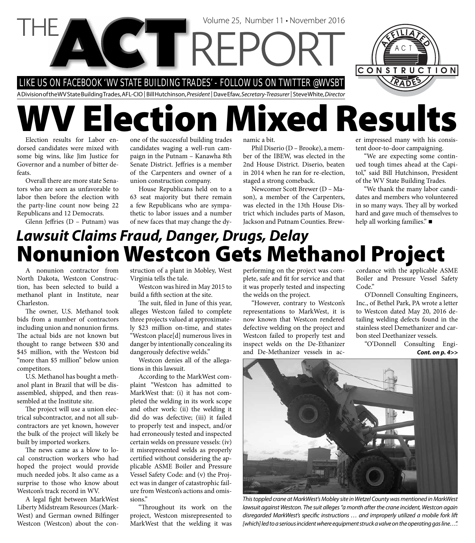

A Division of the WV State Building Trades, AFL-CIO | Bill Hutchinson, President | Dave Efaw, Secretary-Treasurer | Steve White, Director

# **WV Election Mixed Results**

Election results for Labor endorsed candidates were mixed with some big wins, like Jim Justice for Governor and a number of bitter defeats.

Overall there are more state Senators who are seen as unfavorable to labor then before the election with the party-line count now being 22 Republicans and 12 Democrats.

Glenn Jeffries (D - Putnam) was

one of the successful building trades candidates waging a well-run campaign in the Putnam – Kanawha 8th Senate District. Jeffries is a member of the Carpenters and owner of a union construction company.

House Republicans held on to a 63 seat majority but there remain a few Republicans who are sympathetic to labor issues and a number of new faces that may change the dynamic a bit.

Phil Diserio (D – Brooke), a member of the IBEW, was elected in the 2nd House District. Diserio, beaten in 2014 when he ran for re-election, staged a strong comeback.

Newcomer Scott Brewer (D – Mason), a member of the Carpenters, was elected in the 13th House District which includes parts of Mason, Jackson and Putnam Counties. Brew-

er impressed many with his consistent door-to-door campaigning.

"We are expecting some continued tough times ahead at the Capitol," said Bill Hutchinson, President of the WV State Building Trades.

"We thank the many labor candidates and members who volunteered in so many ways. They all by worked hard and gave much of themselves to help all working families."

## **Nonunion Westcon Gets Methanol Project** *Lawsuit Claims Fraud, Danger, Drugs, Delay*

A nonunion contractor from North Dakota, Westcon Construction, has been selected to build a methanol plant in Institute, near Charleston.

The owner, U.S. Methanol took bids from a number of contractors including union and nonunion firms. The actual bids are not known but thought to range between \$30 and \$45 million, with the Westcon bid "more than \$5 million" below union competitors.

U.S. Methanol has bought a methanol plant in Brazil that will be disassembled, shipped, and then reassembled at the Institute site.

The project will use a union electrical subcontractor, and not all subcontractors are yet known, however the bulk of the project will likely be built by imported workers.

The news came as a blow to local construction workers who had hoped the project would provide much needed jobs. It also came as a surprise to those who know about Westcon's track record in WV.

A legal fight between MarkWest Liberty Midstream Resources (Mark-West) and German owned Bilfinger Westcon (Westcon) about the construction of a plant in Mobley, West Virginia tells the tale.

Westcon was hired in May 2015 to build a fifth section at the site.

The suit, filed in June of this year, alleges Westcon failed to complete three projects valued at approximately \$23 million on-time, and states "Westcon place[d] numerous lives in danger by intentionally concealing its dangerously defective welds."

Westcon denies all of the allegations in this lawsuit.

According to the MarkWest complaint "Westcon has admitted to MarkWest that: (i) it has not completed the welding in its work scope and other work: (ii) the welding it did do was defective; (iii) it failed to properly test and inspect, and/or had erroneously tested and inspected certain welds on pressure vessels: (iv) it misrepresented welds as properly certified without considering the applicable ASME Boiler and Pressure Vessel Safety Code: and (v) the Project was in danger of catastrophic failure from Westcon's actions and omissions."

"Throughout its work on the project, Westcon misrepresented to MarkWest that the welding it was

performing on the project was complete, safe and fit for service and that it was properly tested and inspecting the welds on the project.

"However, contrary to Westcon's representations to MarkWest, it is now known that Westcon rendered defective welding on the project and Westcon failed to properly test and inspect welds on the De-Ethanizer and De-Methanizer vessels in ac-

cordance with the applicable ASME Boiler and Pressure Vessel Safety Code."

O'Donnell Consulting Engineers, Inc., of Bethel Park, PA wrote a letter to Westcon dated May 20, 2016 detailing welding defects found in the stainless steel Demethanizer and carbon steel Deethanizer vessels.

*Cont. on p. 4>>* "O'Donnell Consulting Engi-



This toppled crane at MarkWest's Mobley site in Wetzel County was mentioned in MarkWest lawsuit against Westcon. The suit alleges "a month after the crane incident, Westcon again disregarded MarkWest's specific instructions ... and improperly utilized a mobile fork lift [which] led to a serious incident where equipment struck a valve on the operating gas line...".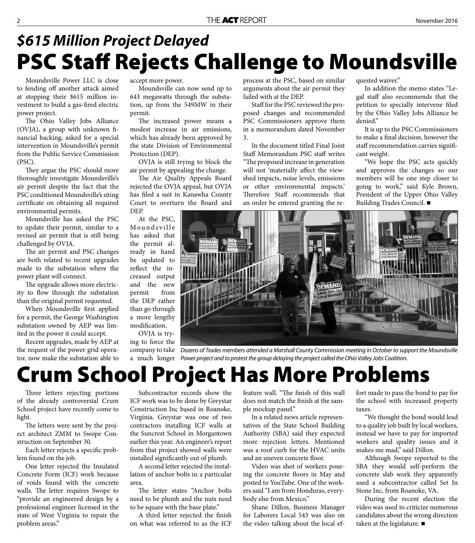## **PSC Staff Rejects Challenge to Moundsville** *\$615 Million Project Delayed*

Moundsville Power LLC is close to fending off another attack aimed at stopping their \$615 million investment to build a gas-fired electric power project.

The Ohio Valley Jobs Alliance (OVJA), a group with unknown financial backing, asked for a special intervention in Moundsville's permit from the Public Service Commission (PSC).

They argue the PSC should more thoroughly investigate Moundsville's air permit despite the fact that the PSC conditioned Moundsville's siting certificate on obtaining all required environmental permits.

Moundsville has asked the PSC to update their permit, similar to a revised air permit that is still being challenged by OVJA.

The air permit and PSC changes are both related to recent upgrades made to the substation where the power plant will connect.

The upgrade allows more electricity to flow through the substation than the original permit requested.

When Moundsville first applied for a permit, the George Washington substation owned by AEP was limited in the power it could accept.

Recent upgrades, made by AEP at the request of the power grid operator, now make the substation able to accept more power.

Moundsville can now send up to 643 megawatts through the substation, up from the 549MW in their permit.

The increased power means a modest increase in air emissions, which has already been approved by the state Division of Environmental Protection (DEP).

OVJA is still trying to block the air permit by appealing the change.

The Air Quality Appeals Board rejected the OVJA appeal, but OVJA has filed a suit in Kanawha County Court to overturn the Board and DEP.

At the PSC, Mounds ville has asked that the permit already in hand be updated to reflect the increased output and the new permit from the DEP rather than go through a more lengthy modification.

OVJA is try-

ing to force the company to take process at the PSC, based on similar arguments about the air permit they failed with at the DEP.

Staff for the PSC reviewed the proposed changes and recommended PSC Commissioners approve them in a memorandum dated November 3.

In the document titled Final Joint Staff Memorandum PSC staff writes "The proposed increase in generation will not 'materially affect the viewshed impacts, noise levels, emissions or other environmental impacts.' Therefore Staff recommends that an order be entered granting the requested waiver."

In addition the memo states "Legal staff also recommends that the petition to specially intervene filed by the Ohio Valley Jobs Alliance be denied."

It is up to the PSC Commissioners to make a final decision, however the staff recommendation carries significant weight.

"We hope the PSC acts quickly and approves the changes so our members will be one step closer to going to work," said Kyle Brown, President of the Upper Ohio Valley Building Trades Council.



a much longer Power project and to protest the group delaying the project called the Ohio Valley Jobs Coalition. Dozens of Trades members attended a Marshall County Commission meeting in October to support the Moundsville

## **Crum School Project Has More Problems**

Three letters rejecting portions of the already controversial Crum School project have recently come to light.

The letters were sent by the project architect ZMM to Swope Construction on September 30.

Each letter rejects a specific problem found on the job.

One letter rejected the Insulated Concrete Form (ICF) work because of voids found with the concrete walls. The letter requires Swope to "provide an engineered design by a professional engineer licensed in the state of West Virginia to repair the problem areas."

Subcontractor records show the ICF work was to be done by Greystar Construction Inc based in Roanoke, Virginia. Greystar was one of two contractors installing ICF walls at the Suncrest School in Morgantown earlier this year. An engineer's report from that project showed walls were installed significantly out of plumb.

A second letter rejected the installation of anchor bolts in a particular area.

The letter states "Anchor bolts need to be plumb and the nuts need to be square with the base plate."

A third letter rejected the finish on what was referred to as the ICF feature wall. "The finish of this wall does not match the finish at the sample mockup panel."

In a related news article representatives of the State School Building Authority (SBA) said they expected more rejection letters. Mentioned was a roof curb for the HVAC units and an uneven concrete floor.

Video was shot of workers pouring the concrete floors in May and posted to YouTube. One of the workers said "I am from Honduras, everybody else from Mexico."

Shane Dillon, Business Manager for Laborers Local 543 was also on the video talking about the local effort made to pass the bond to pay for the school with increased property taxes.

"We thought the bond would lead to a quality job built by local workers, instead we have to pay for imported workers and quality issues and it makes me mad," said Dillon.

Although Swope reported to the SBA they would self-perform the concrete slab work they apparently used a subcontractor called Set In Stone Inc, from Roanoke, VA.

During the recent election the video was used to criticize numerous candidates about the wrong direction taken at the legislature. ■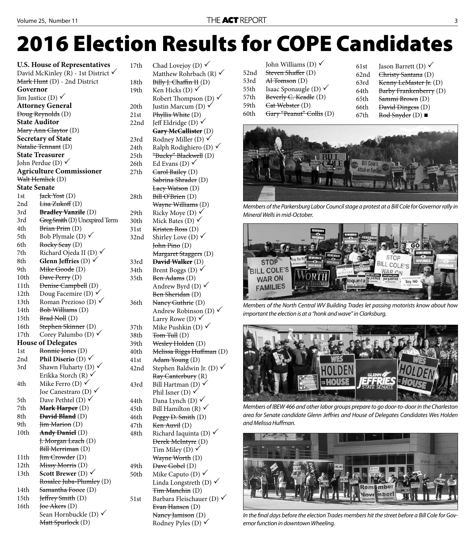## **2016 Election Results for COPE Candidates**

| <b>U.S. House of Representatives</b>      |                                                           |  |  |  |
|-------------------------------------------|-----------------------------------------------------------|--|--|--|
| David McKinley (R) - 1st District V       |                                                           |  |  |  |
| Mark Hunt (D) - 2nd District              |                                                           |  |  |  |
| Governor                                  |                                                           |  |  |  |
| Jim Justice (D) $\checkmark$              |                                                           |  |  |  |
| <b>Attorney General</b>                   |                                                           |  |  |  |
|                                           |                                                           |  |  |  |
| Doug Reynolds (D)<br><b>State Auditor</b> |                                                           |  |  |  |
| Mary Ann Claytor (D)                      |                                                           |  |  |  |
| <b>Secretary of State</b>                 |                                                           |  |  |  |
| <del>Natalie Tennant</del> (D)            |                                                           |  |  |  |
| <b>State Treasurer</b>                    |                                                           |  |  |  |
| John Perdue (D) √                         |                                                           |  |  |  |
| <b>Agriculture Commissioner</b>           |                                                           |  |  |  |
| <del>Walt Hemlick</del> (D)               |                                                           |  |  |  |
| <b>State Senate</b>                       |                                                           |  |  |  |
| 1st                                       | Jack Yost (D)                                             |  |  |  |
| 2nd                                       | Lisa Zukoff (D)                                           |  |  |  |
| 3rd                                       | <b>Bradley Vanzile</b> (D)                                |  |  |  |
| 3rd                                       | Greg Smith (D) Unexpired Term                             |  |  |  |
| 4th                                       | Brian Prim (D)                                            |  |  |  |
| 5th                                       | Bob Plymale (D) $\checkmark$                              |  |  |  |
| 6th                                       | Rocky Seay (D)                                            |  |  |  |
| 7th                                       | Richard Ojeda II (D) $\checkmark$                         |  |  |  |
| 8th                                       | Glenn Jeffries (D)                                        |  |  |  |
| 9th                                       | <del>Mike Goode</del> (D)                                 |  |  |  |
| 10th                                      | Dave Perry (D)                                            |  |  |  |
| 11th                                      | Denise Campbell (D)                                       |  |  |  |
| 12th                                      | Doug Facemire (D) $\checkmark$                            |  |  |  |
| 13th                                      | Roman Prezioso (D) $\checkmark$                           |  |  |  |
| 14th                                      | Bob Williams (D)                                          |  |  |  |
| 15th                                      | <b>Brad Noll</b> (D)                                      |  |  |  |
| 16th                                      | Stephen Skinner (D)                                       |  |  |  |
| 17th                                      | Corey Palumbo (D) $\checkmark$                            |  |  |  |
| <b>House of Delegates</b>                 |                                                           |  |  |  |
| 1st                                       | Ronnie Jones (D)                                          |  |  |  |
| 2nd                                       | Phil Diserio (D)                                          |  |  |  |
| 3rd                                       | Shawn Fluharty (D)                                        |  |  |  |
|                                           | Erikka Storch (R)                                         |  |  |  |
| 4th                                       | Mike Ferro (D) $\checkmark$                               |  |  |  |
|                                           | Joe Canestraro (D) v                                      |  |  |  |
| 5th                                       | Dave Pethtel $(D)$ $\triangleright$                       |  |  |  |
| 7th                                       | Mark Harper (D)                                           |  |  |  |
| 8th                                       | <b>David Bland</b> (D)                                    |  |  |  |
| 9th                                       | <del>Jim Marion</del> (D)                                 |  |  |  |
| 10th                                      | <b>Andy Daniel</b> (D)                                    |  |  |  |
|                                           | J. Morgan Leach (D)                                       |  |  |  |
|                                           | Bill Merriman (D)                                         |  |  |  |
| 11th                                      | <del>Jim Crowder</del> (D)                                |  |  |  |
| 12th<br>13th                              | Missy Morris (D)                                          |  |  |  |
|                                           | Scott Brewer (D) $\checkmark$<br>Rosalee Juba-Plumley (D) |  |  |  |
| 14th                                      | Samantha Fooce (D)                                        |  |  |  |
| 15th                                      | <del>Jeffrey Smith</del> (D)                              |  |  |  |
| 16th                                      | <del>Joe Akers</del> (D)                                  |  |  |  |
|                                           | Sean Hornbuckle (D) √                                     |  |  |  |
|                                           | Matt Spurlock (D)                                         |  |  |  |

17th Chad Lovejoy (D)  $\checkmark$ Matthew Rohrbach (R)  $\checkmark$ 18th Billy J. Chaffin H (D) 19th Ken Hicks (D)  $\checkmark$ Robert Thompson (D)  $\checkmark$ 20th Justin Marcum (D)  $\checkmark$ 21st Phyllis White (D) 22nd Jeff Eldridge (D)  $\checkmark$ **Gary McCallister** (D) 23rd Rodney Miller (D)  $\checkmark$ 24th Ralph Rodighiero (D)  $\checkmark$ 25th "Bucky" Blackwell (D) 26th Ed Evans (D)  $\checkmark$ 27th  $\quad$  Carol Bailey (D) Sabrina Shrader (D) Lacy Watson (D) 28th  $B<sub>ill</sub> \Theta<sup>2</sup>$ Brien (D) Wayne Williams (D) 29th Ricky Moye (D)  $\checkmark$ 30th Mick Bates (D)  $\checkmark$ 31st Kristen Ross (D) 32nd Shirley Love (D)  $\checkmark$  John Pino (D) Margaret Staggers (D) 33rd **David Walker** (D) 34th Brent Boggs (D)  $\checkmark$ 35th Ben Adams (D) Andrew Byrd (D)  $\checkmark$  Ben Sheridan (D) 36th Nancy Guthrie (D) Andrew Robinson (D)  $\checkmark$ Larry Rowe (D)  $\checkmark$ 37th Mike Pushkin (D)  $\checkmark$  $38th$  Tom Tull  $(D)$ 39th Wesley Holden (D) 40th Melissa Riggs Huffman (D) 41st  $\quad$  Adam Young (D) 42nd Stephen Baldwin Jr. (D)  $\checkmark$  Ray Canterbury (R) 43rd Bill Hartman (D)  $\checkmark$ Phil Isner (D)  $\checkmark$ 44th Dana Lynch (D)  $\checkmark$ 45th Bill Hamilton (R)  $\checkmark$ 46th Peggy D. Smith (D) 47th Ken Auvil (D) 48th Richard Iaquinta (D)  $\checkmark$  Derek McIntyre (D) Tim Miley (D)  $\checkmark$  Wayne Worth (D) 49th <del>Dave Gobel</del> (D) 50th Mike Caputo (D)  $\checkmark$ Linda Longstreth (D)  $\checkmark$  Tim Manchin (D) 51st Barbara Fleischauer (D)  $\checkmark$  Evan Hansen (D) Nancy Jamison (D) Rodney Pyles (D)  $\checkmark$ 

| 52nd<br>53rd<br>55th<br>57th<br>59th | John Williams (D) $\checkmark$<br>Steven Shaffer (D)<br>$A\!$ Tomson $(D)$<br>Isaac Sponaugle (D) $\checkmark$<br>Beverly C. Keadle (D)<br>Cat Webster (D) | 61st<br>62nd<br>63rd<br>64th<br>65th<br>66th | Jason Barrett (D) $\checkmark$<br>Christy Santana (D)<br>Kenny LeMaster Jr. (D)<br>Barby Frankenberry (D)<br>Sammi Brown (D)<br>David Dingess (D) |
|--------------------------------------|------------------------------------------------------------------------------------------------------------------------------------------------------------|----------------------------------------------|---------------------------------------------------------------------------------------------------------------------------------------------------|
| 60th                                 | Gary "Peanut" Collis (D)                                                                                                                                   | 67th                                         | Rod Snyder (D) $\blacksquare$                                                                                                                     |
|                                      |                                                                                                                                                            |                                              |                                                                                                                                                   |



Members of the Parkersburg Labor Council stage a protest at a Bill Cole for Governor rally in Mineral Wells in mid-October.



Members of the North Central WV Building Trades let passing motorists know about how important the election is at a "honk and wave" in Clarksburg.



Members of IBEW 466 and other labor groups prepare to go door-to-door in the Charleston area for Senate candidate Glenn Jeffries and House of Delegates Candidates Wes Holden and Melissa Huffman.



In the final days before the election Trades members hit the street before a Bill Cole for Governor function in downtown Wheeling.